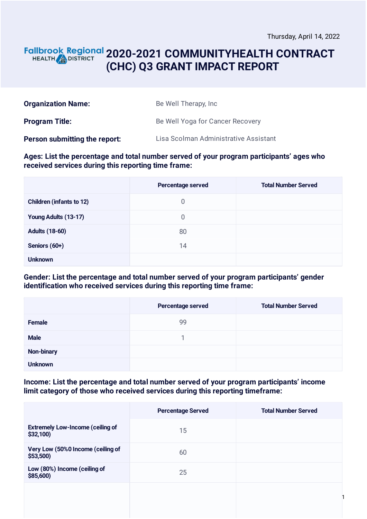#### **2020-2021 COMMUNITYHEALTH CONTRACT** HEALTH **AND DISTRICT (CHC) Q3 GRANT IMPACT REPORT**

| <b>Organization Name:</b>     | Be Well Therapy, Inc.                 |
|-------------------------------|---------------------------------------|
| <b>Program Title:</b>         | Be Well Yoga for Cancer Recovery      |
| Person submitting the report: | Lisa Scolman Administrative Assistant |

#### **Ages: List the percentage and total number served of your program participants' ages who received services during this reporting time frame:**

|                                 | Percentage served | <b>Total Number Served</b> |
|---------------------------------|-------------------|----------------------------|
| <b>Children (infants to 12)</b> | 0                 |                            |
| Young Adults (13-17)            | 0                 |                            |
| <b>Adults (18-60)</b>           | 80                |                            |
| Seniors (60+)                   | 14                |                            |
| <b>Unknown</b>                  |                   |                            |

#### **Gender: List the percentage and total number served of your program participants' gender identification who received services during this reporting time frame:**

|                   | Percentage served | <b>Total Number Served</b> |
|-------------------|-------------------|----------------------------|
| <b>Female</b>     | 99                |                            |
| <b>Male</b>       |                   |                            |
| <b>Non-binary</b> |                   |                            |
| <b>Unknown</b>    |                   |                            |

#### **Income: List the percentage and total number served of your program participants' income limit category of those who received services during this reporting timeframe:**

|                                                     | <b>Percentage Served</b> | <b>Total Number Served</b> |
|-----------------------------------------------------|--------------------------|----------------------------|
| <b>Extremely Low-Income (ceiling of</b><br>\$32,100 | 15                       |                            |
| Very Low (50%0 Income (ceiling of<br>\$53,500       | 60                       |                            |
| Low (80%) Income (ceiling of<br>\$85,600)           | 25                       |                            |
|                                                     |                          |                            |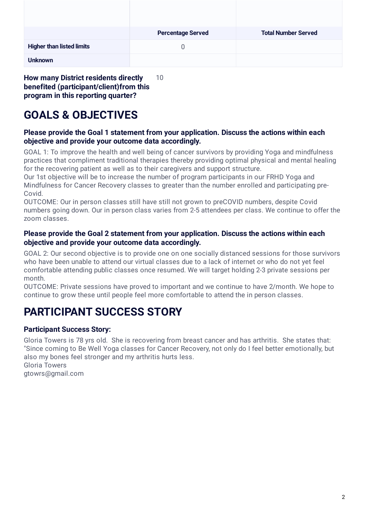|                                  | <b>Percentage Served</b> | <b>Total Number Served</b> |
|----------------------------------|--------------------------|----------------------------|
| <b>Higher than listed limits</b> |                          |                            |
| <b>Unknown</b>                   |                          |                            |

**How many District residents directly benefited (participant/client)from this program in this reporting quarter?** 10

# **GOALS & OBJECTIVES**

#### **Please provide the Goal 1 statement from your application. Discuss the actions within each objective and provide your outcome data accordingly.**

GOAL 1: To improve the health and well being of cancer survivors by providing Yoga and mindfulness practices that compliment traditional therapies thereby providing optimal physical and mental healing for the recovering patient as well as to their caregivers and support structure.

Our 1st objective will be to increase the number of program participants in our FRHD Yoga and Mindfulness for Cancer Recovery classes to greater than the number enrolled and participating pre-Covid.

OUTCOME: Our in person classes still have still not grown to preCOVID numbers, despite Covid numbers going down. Our in person class varies from 2-5 attendees per class. We continue to offer the zoom classes.

#### **Please provide the Goal 2 statement from your application. Discuss the actions within each objective and provide your outcome data accordingly.**

GOAL 2: Our second objective is to provide one on one socially distanced sessions for those survivors who have been unable to attend our virtual classes due to a lack of internet or who do not yet feel comfortable attending public classes once resumed. We will target holding 2-3 private sessions per month.

OUTCOME: Private sessions have proved to important and we continue to have 2/month. We hope to continue to grow these until people feel more comfortable to attend the in person classes.

# **PARTICIPANT SUCCESS STORY**

#### **Participant Success Story:**

Gloria Towers is 78 yrs old. She is recovering from breast cancer and has arthritis. She states that: "Since coming to Be Well Yoga classes for Cancer Recovery, not only do I feel better emotionally, but also my bones feel stronger and my arthritis hurts less. Gloria Towers

gtowrs@gmail.com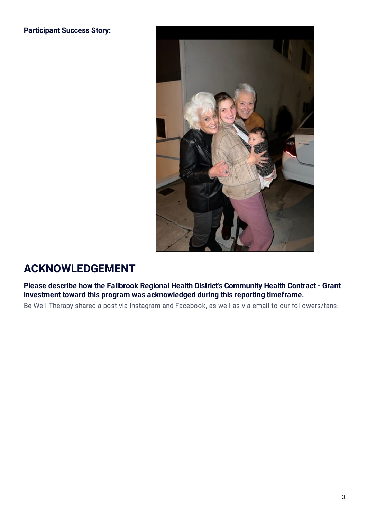**Participant Success Story:**



## **ACKNOWLEDGEMENT**

**Please describe how the Fallbrook Regional Health District's Community Health Contract - Grant investment toward this program was acknowledged during this reporting timeframe.**

Be Well Therapy shared a post via Instagram and Facebook, as well as via email to our followers/fans.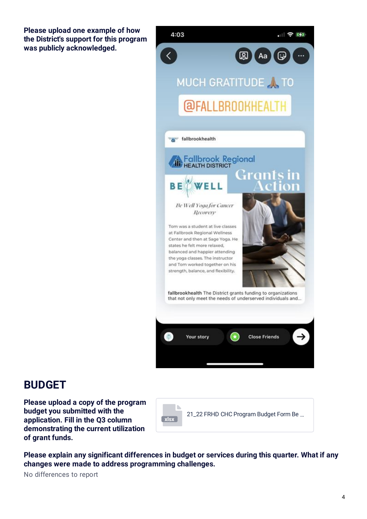**Please upload one example of how the District's support for this program was publicly acknowledged.**



### **BUDGET**

**Please upload a copy of the program budget you submitted with the application. Fill in the Q3 column demonstrating the current utilization of grant funds.**



**Please explain any significant differences in budget or services during this quarter. What if any changes were made to address programming challenges.**

No differences to report